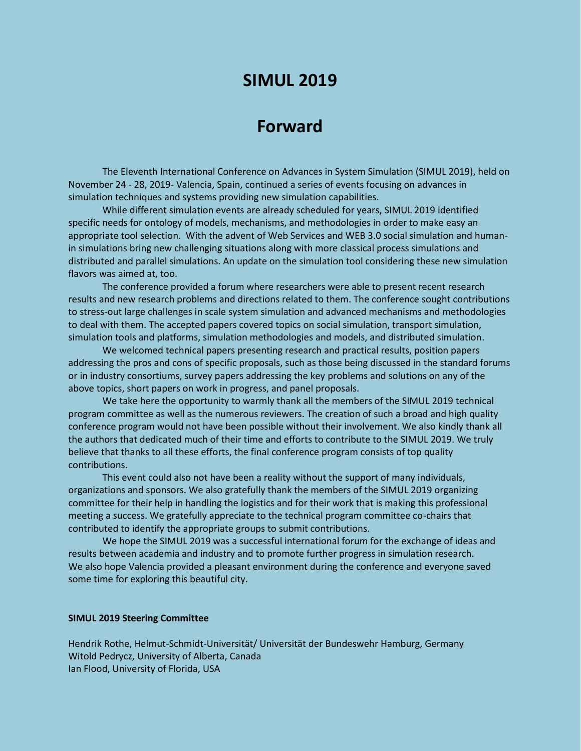## **SIMUL 2019**

# **Forward**

The Eleventh International Conference on Advances in System Simulation (SIMUL 2019), held on November 24 - 28, 2019- Valencia, Spain, continued a series of events focusing on advances in simulation techniques and systems providing new simulation capabilities.

While different simulation events are already scheduled for years, SIMUL 2019 identified specific needs for ontology of models, mechanisms, and methodologies in order to make easy an appropriate tool selection. With the advent of Web Services and WEB 3.0 social simulation and humanin simulations bring new challenging situations along with more classical process simulations and distributed and parallel simulations. An update on the simulation tool considering these new simulation flavors was aimed at, too.

The conference provided a forum where researchers were able to present recent research results and new research problems and directions related to them. The conference sought contributions to stress-out large challenges in scale system simulation and advanced mechanisms and methodologies to deal with them. The accepted papers covered topics on social simulation, transport simulation, simulation tools and platforms, simulation methodologies and models, and distributed simulation.

We welcomed technical papers presenting research and practical results, position papers addressing the pros and cons of specific proposals, such as those being discussed in the standard forums or in industry consortiums, survey papers addressing the key problems and solutions on any of the above topics, short papers on work in progress, and panel proposals.

We take here the opportunity to warmly thank all the members of the SIMUL 2019 technical program committee as well as the numerous reviewers. The creation of such a broad and high quality conference program would not have been possible without their involvement. We also kindly thank all the authors that dedicated much of their time and efforts to contribute to the SIMUL 2019. We truly believe that thanks to all these efforts, the final conference program consists of top quality contributions.

This event could also not have been a reality without the support of many individuals, organizations and sponsors. We also gratefully thank the members of the SIMUL 2019 organizing committee for their help in handling the logistics and for their work that is making this professional meeting a success. We gratefully appreciate to the technical program committee co-chairs that contributed to identify the appropriate groups to submit contributions.

We hope the SIMUL 2019 was a successful international forum for the exchange of ideas and results between academia and industry and to promote further progress in simulation research. We also hope Valencia provided a pleasant environment during the conference and everyone saved some time for exploring this beautiful city.

#### **SIMUL 2019 Steering Committee**

Hendrik Rothe, Helmut-Schmidt-Universität/ Universität der Bundeswehr Hamburg, Germany Witold Pedrycz, University of Alberta, Canada Ian Flood, University of Florida, USA